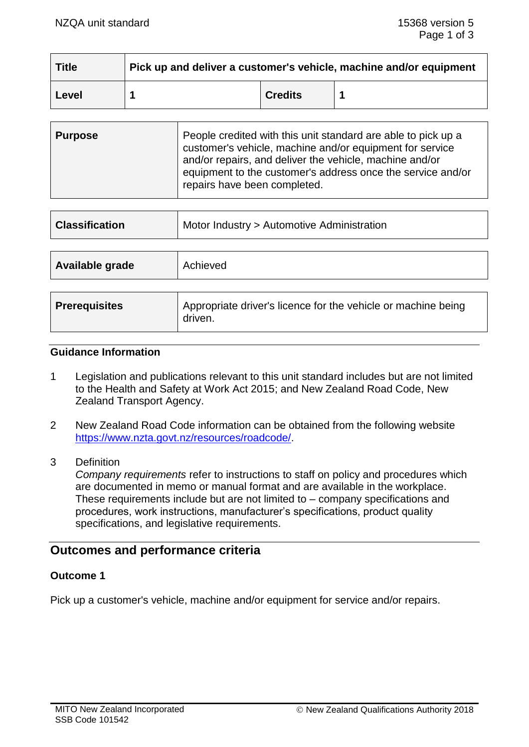| <b>Title</b> | Pick up and deliver a customer's vehicle, machine and/or equipment |                |  |
|--------------|--------------------------------------------------------------------|----------------|--|
| Level        |                                                                    | <b>Credits</b> |  |

| <b>Purpose</b> | People credited with this unit standard are able to pick up a<br>customer's vehicle, machine and/or equipment for service<br>and/or repairs, and deliver the vehicle, machine and/or<br>equipment to the customer's address once the service and/or<br>repairs have been completed. |
|----------------|-------------------------------------------------------------------------------------------------------------------------------------------------------------------------------------------------------------------------------------------------------------------------------------|
|                |                                                                                                                                                                                                                                                                                     |

| <b>Classification</b> | Motor Industry > Automotive Administration                               |  |  |
|-----------------------|--------------------------------------------------------------------------|--|--|
|                       |                                                                          |  |  |
| Available grade       | Achieved                                                                 |  |  |
|                       |                                                                          |  |  |
| <b>Prerequisites</b>  | Appropriate driver's licence for the vehicle or machine being<br>driven. |  |  |

#### **Guidance Information**

- 1 Legislation and publications relevant to this unit standard includes but are not limited to the Health and Safety at Work Act 2015; and New Zealand Road Code, New Zealand Transport Agency.
- 2 New Zealand Road Code information can be obtained from the following website [https://www.nzta.govt.nz/resources/roadcode/.](https://www.nzta.govt.nz/resources/roadcode/)
- 3 Definition

*Company requirements* refer to instructions to staff on policy and procedures which are documented in memo or manual format and are available in the workplace. These requirements include but are not limited to – company specifications and procedures, work instructions, manufacturer's specifications, product quality specifications, and legislative requirements.

# **Outcomes and performance criteria**

## **Outcome 1**

Pick up a customer's vehicle, machine and/or equipment for service and/or repairs.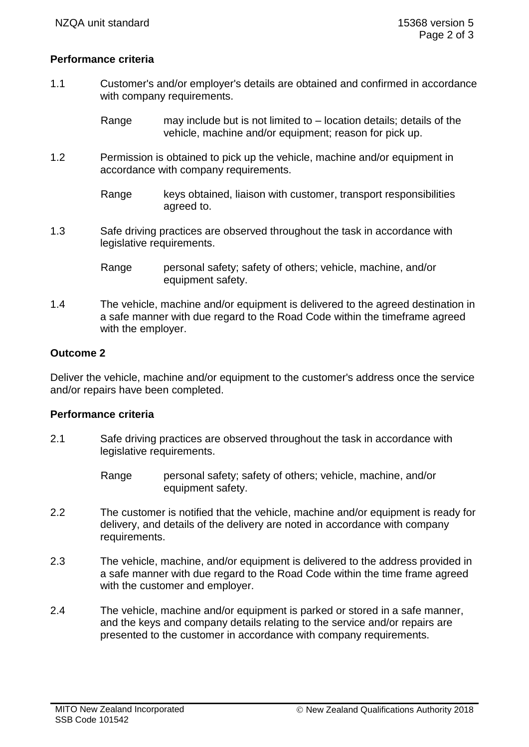## **Performance criteria**

- 1.1 Customer's and/or employer's details are obtained and confirmed in accordance with company requirements.
	- Range may include but is not limited to location details; details of the vehicle, machine and/or equipment; reason for pick up.
- 1.2 Permission is obtained to pick up the vehicle, machine and/or equipment in accordance with company requirements.
	- Range keys obtained, liaison with customer, transport responsibilities agreed to.
- 1.3 Safe driving practices are observed throughout the task in accordance with legislative requirements.

1.4 The vehicle, machine and/or equipment is delivered to the agreed destination in a safe manner with due regard to the Road Code within the timeframe agreed with the employer.

## **Outcome 2**

Deliver the vehicle, machine and/or equipment to the customer's address once the service and/or repairs have been completed.

## **Performance criteria**

- 2.1 Safe driving practices are observed throughout the task in accordance with legislative requirements.
	- Range personal safety; safety of others; vehicle, machine, and/or equipment safety.
- 2.2 The customer is notified that the vehicle, machine and/or equipment is ready for delivery, and details of the delivery are noted in accordance with company requirements.
- 2.3 The vehicle, machine, and/or equipment is delivered to the address provided in a safe manner with due regard to the Road Code within the time frame agreed with the customer and employer.
- 2.4 The vehicle, machine and/or equipment is parked or stored in a safe manner, and the keys and company details relating to the service and/or repairs are presented to the customer in accordance with company requirements.

Range personal safety; safety of others; vehicle, machine, and/or equipment safety.